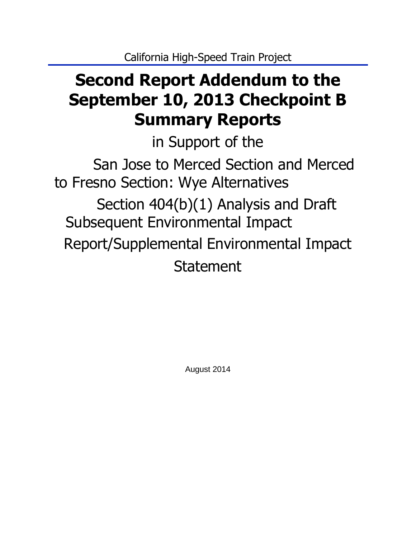# **Second Report Addendum to the September 10, 2013 Checkpoint B Summary Reports**

in Support of the

San Jose to Merced Section and Merced to Fresno Section: Wye Alternatives Section 404(b)(1) Analysis and Draft Subsequent Environmental Impact Report/Supplemental Environmental Impact Statement

August 2014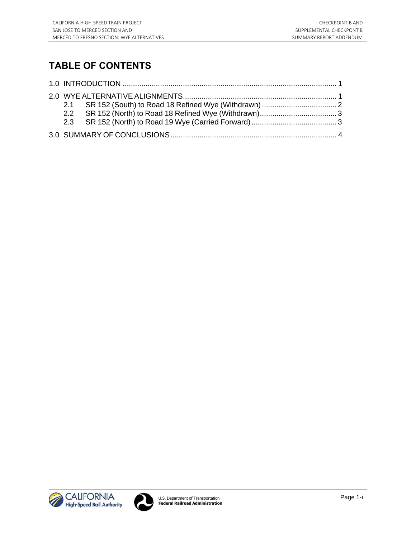# **TABLE OF CONTENTS**



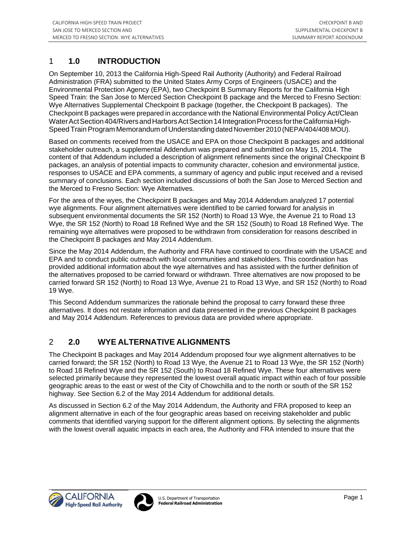### <span id="page-2-0"></span>1 **1.0 INTRODUCTION**

On September 10, 2013 the California High-Speed Rail Authority (Authority) and Federal Railroad Administration (FRA) submitted to the United States Army Corps of Engineers (USACE) and the Environmental Protection Agency (EPA), two Checkpoint B Summary Reports for the California High Speed Train: the San Jose to Merced Section Checkpoint B package and the Merced to Fresno Section: Wye Alternatives Supplemental Checkpoint B package (together, the Checkpoint B packages). The Checkpoint B packages were prepared in accordance with the National Environmental Policy Act/Clean Water Act Section 404/Rivers and Harbors Act Section 14 Integration Process for the California High-Speed Train Program Memorandum of Understanding dated November 2010 (NEPA/404/408 MOU).

Based on comments received from the USACE and EPA on those Checkpoint B packages and additional stakeholder outreach, a supplemental Addendum was prepared and submitted on May 15, 2014. The content of that Addendum included a description of alignment refinements since the original Checkpoint B packages, an analysis of potential impacts to community character, cohesion and environmental justice, responses to USACE and EPA comments, a summary of agency and public input received and a revised summary of conclusions. Each section included discussions of both the San Jose to Merced Section and the Merced to Fresno Section: Wye Alternatives.

For the area of the wyes, the Checkpoint B packages and May 2014 Addendum analyzed 17 potential wye alignments. Four alignment alternatives were identified to be carried forward for analysis in subsequent environmental documents the SR 152 (North) to Road 13 Wye, the Avenue 21 to Road 13 Wye, the SR 152 (North) to Road 18 Refined Wye and the SR 152 (South) to Road 18 Refined Wye. The remaining wye alternatives were proposed to be withdrawn from consideration for reasons described in the Checkpoint B packages and May 2014 Addendum.

Since the May 2014 Addendum, the Authority and FRA have continued to coordinate with the USACE and EPA and to conduct public outreach with local communities and stakeholders. This coordination has provided additional information about the wye alternatives and has assisted with the further definition of the alternatives proposed to be carried forward or withdrawn. Three alternatives are now proposed to be carried forward SR 152 (North) to Road 13 Wye, Avenue 21 to Road 13 Wye, and SR 152 (North) to Road 19 Wye.

This Second Addendum summarizes the rationale behind the proposal to carry forward these three alternatives. It does not restate information and data presented in the previous Checkpoint B packages and May 2014 Addendum. References to previous data are provided where appropriate.

#### <span id="page-2-1"></span>2 **2.0 WYE ALTERNATIVE ALIGNMENTS**

The Checkpoint B packages and May 2014 Addendum proposed four wye alignment alternatives to be carried forward; the SR 152 (North) to Road 13 Wye, the Avenue 21 to Road 13 Wye, the SR 152 (North) to Road 18 Refined Wye and the SR 152 (South) to Road 18 Refined Wye. These four alternatives were selected primarily because they represented the lowest overall aquatic impact within each of four possible geographic areas to the east or west of the City of Chowchilla and to the north or south of the SR 152 highway. See Section 6.2 of the May 2014 Addendum for additional details.

As discussed in Section 6.2 of the May 2014 Addendum, the Authority and FRA proposed to keep an alignment alternative in each of the four geographic areas based on receiving stakeholder and public comments that identified varying support for the different alignment options. By selecting the alignments with the lowest overall aquatic impacts in each area, the Authority and FRA intended to insure that the



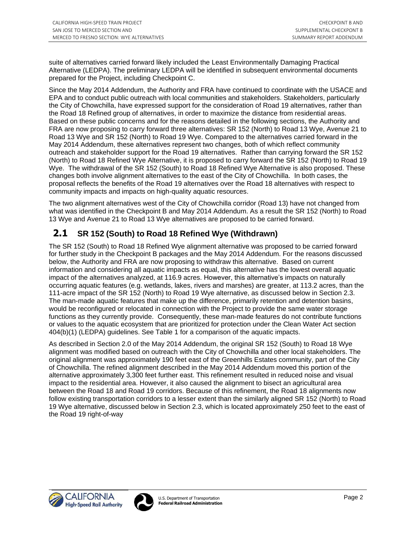suite of alternatives carried forward likely included the Least Environmentally Damaging Practical Alternative (LEDPA). The preliminary LEDPA will be identified in subsequent environmental documents prepared for the Project, including Checkpoint C.

Since the May 2014 Addendum, the Authority and FRA have continued to coordinate with the USACE and EPA and to conduct public outreach with local communities and stakeholders. Stakeholders, particularly the City of Chowchilla, have expressed support for the consideration of Road 19 alternatives, rather than the Road 18 Refined group of alternatives, in order to maximize the distance from residential areas. Based on these public concerns and for the reasons detailed in the following sections, the Authority and FRA are now proposing to carry forward three alternatives: SR 152 (North) to Road 13 Wye, Avenue 21 to Road 13 Wye and SR 152 (North) to Road 19 Wye. Compared to the alternatives carried forward in the May 2014 Addendum, these alternatives represent two changes, both of which reflect community outreach and stakeholder support for the Road 19 alternatives. Rather than carrying forward the SR 152 (North) to Road 18 Refined Wye Alternative, it is proposed to carry forward the SR 152 (North) to Road 19 Wye. The withdrawal of the SR 152 (South) to Road 18 Refined Wye Alternative is also proposed. These changes both involve alignment alternatives to the east of the City of Chowchilla. In both cases, the proposal reflects the benefits of the Road 19 alternatives over the Road 18 alternatives with respect to community impacts and impacts on high-quality aquatic resources.

The two alignment alternatives west of the City of Chowchilla corridor (Road 13) have not changed from what was identified in the Checkpoint B and May 2014 Addendum. As a result the SR 152 (North) to Road 13 Wye and Avenue 21 to Road 13 Wye alternatives are proposed to be carried forward.

## <span id="page-3-0"></span>**2.1 SR 152 (South) to Road 18 Refined Wye (Withdrawn)**

The SR 152 (South) to Road 18 Refined Wye alignment alternative was proposed to be carried forward for further study in the Checkpoint B packages and the May 2014 Addendum. For the reasons discussed below, the Authority and FRA are now proposing to withdraw this alternative. Based on current information and considering all aquatic impacts as equal, this alternative has the lowest overall aquatic impact of the alternatives analyzed, at 116.9 acres. However, this alternative's impacts on naturally occurring aquatic features (e.g. wetlands, lakes, rivers and marshes) are greater, at 113.2 acres, than the 111-acre impact of the SR 152 (North) to Road 19 Wye alternative, as discussed below in Section 2.3. The man-made aquatic features that make up the difference, primarily retention and detention basins, would be reconfigured or relocated in connection with the Project to provide the same water storage functions as they currently provide. Consequently, these man-made features do not contribute functions or values to the aquatic ecosystem that are prioritized for protection under the Clean Water Act section 404(b)(1) (LEDPA) guidelines. See Table 1 for a comparison of the aquatic impacts.

As described in Section 2.0 of the May 2014 Addendum, the original SR 152 (South) to Road 18 Wye alignment was modified based on outreach with the City of Chowchilla and other local stakeholders. The original alignment was approximately 190 feet east of the Greenhills Estates community, part of the City of Chowchilla. The refined alignment described in the May 2014 Addendum moved this portion of the alternative approximately 3,300 feet further east. This refinement resulted in reduced noise and visual impact to the residential area. However, it also caused the alignment to bisect an agricultural area between the Road 18 and Road 19 corridors. Because of this refinement, the Road 18 alignments now follow existing transportation corridors to a lesser extent than the similarly aligned SR 152 (North) to Road 19 Wye alternative, discussed below in Section 2.3, which is located approximately 250 feet to the east of the Road 19 right-of-way



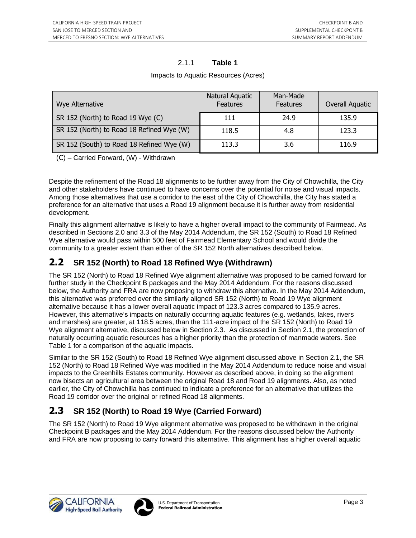#### 2.1.1 **Table 1**

| Wye Alternative                           | Natural Aquatic<br><b>Features</b> | Man-Made<br><b>Features</b> | Overall Aquatic |
|-------------------------------------------|------------------------------------|-----------------------------|-----------------|
| SR 152 (North) to Road 19 Wye (C)         | 111                                | 24.9                        | 135.9           |
| SR 152 (North) to Road 18 Refined Wye (W) | 118.5                              | 4.8                         | 123.3           |
| SR 152 (South) to Road 18 Refined Wye (W) | 113.3                              | 3.6                         | 116.9           |

Impacts to Aquatic Resources (Acres)

(C) – Carried Forward, (W) - Withdrawn

Despite the refinement of the Road 18 alignments to be further away from the City of Chowchilla, the City and other stakeholders have continued to have concerns over the potential for noise and visual impacts. Among those alternatives that use a corridor to the east of the City of Chowchilla, the City has stated a preference for an alternative that uses a Road 19 alignment because it is further away from residential development.

Finally this alignment alternative is likely to have a higher overall impact to the community of Fairmead. As described in Sections 2.0 and 3.3 of the May 2014 Addendum, the SR 152 (South) to Road 18 Refined Wye alternative would pass within 500 feet of Fairmead Elementary School and would divide the community to a greater extent than either of the SR 152 North alternatives described below.

# <span id="page-4-0"></span>**2.2 SR 152 (North) to Road 18 Refined Wye (Withdrawn)**

The SR 152 (North) to Road 18 Refined Wye alignment alternative was proposed to be carried forward for further study in the Checkpoint B packages and the May 2014 Addendum. For the reasons discussed below, the Authority and FRA are now proposing to withdraw this alternative. In the May 2014 Addendum, this alternative was preferred over the similarly aligned SR 152 (North) to Road 19 Wye alignment alternative because it has a lower overall aquatic impact of 123.3 acres compared to 135.9 acres. However, this alternative's impacts on naturally occurring aquatic features (e.g. wetlands, lakes, rivers and marshes) are greater, at 118.5 acres, than the 111-acre impact of the SR 152 (North) to Road 19 Wye alignment alternative, discussed below in Section 2.3. As discussed in Section 2.1, the protection of naturally occurring aquatic resources has a higher priority than the protection of manmade waters. See Table 1 for a comparison of the aquatic impacts.

Similar to the SR 152 (South) to Road 18 Refined Wye alignment discussed above in Section 2.1, the SR 152 (North) to Road 18 Refined Wye was modified in the May 2014 Addendum to reduce noise and visual impacts to the Greenhills Estates community. However as described above, in doing so the alignment now bisects an agricultural area between the original Road 18 and Road 19 alignments. Also, as noted earlier, the City of Chowchilla has continued to indicate a preference for an alternative that utilizes the Road 19 corridor over the original or refined Road 18 alignments.

# <span id="page-4-1"></span>**2.3 SR 152 (North) to Road 19 Wye (Carried Forward)**

The SR 152 (North) to Road 19 Wye alignment alternative was proposed to be withdrawn in the original Checkpoint B packages and the May 2014 Addendum. For the reasons discussed below the Authority and FRA are now proposing to carry forward this alternative. This alignment has a higher overall aquatic

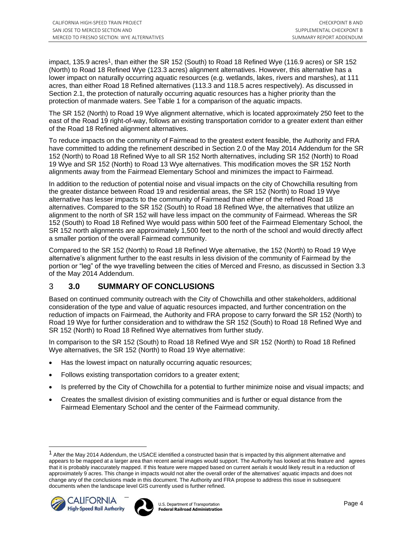impact, 135.9 acres<sup>1</sup>, than either the SR 152 (South) to Road 18 Refined Wye (116.9 acres) or SR 152 (North) to Road 18 Refined Wye (123.3 acres) alignment alternatives. However, this alternative has a lower impact on naturally occurring aquatic resources (e.g. wetlands, lakes, rivers and marshes), at 111 acres, than either Road 18 Refined alternatives (113.3 and 118.5 acres respectively). As discussed in Section 2.1, the protection of naturally occurring aquatic resources has a higher priority than the protection of manmade waters. See Table 1 for a comparison of the aquatic impacts.

The SR 152 (North) to Road 19 Wye alignment alternative, which is located approximately 250 feet to the east of the Road 19 right-of-way, follows an existing transportation corridor to a greater extent than either of the Road 18 Refined alignment alternatives.

To reduce impacts on the community of Fairmead to the greatest extent feasible, the Authority and FRA have committed to adding the refinement described in Section 2.0 of the May 2014 Addendum for the SR 152 (North) to Road 18 Refined Wye to all SR 152 North alternatives, including SR 152 (North) to Road 19 Wye and SR 152 (North) to Road 13 Wye alternatives. This modification moves the SR 152 North alignments away from the Fairmead Elementary School and minimizes the impact to Fairmead.

In addition to the reduction of potential noise and visual impacts on the city of Chowchilla resulting from the greater distance between Road 19 and residential areas, the SR 152 (North) to Road 19 Wye alternative has lesser impacts to the community of Fairmead than either of the refined Road 18 alternatives. Compared to the SR 152 (South) to Road 18 Refined Wye, the alternatives that utilize an alignment to the north of SR 152 will have less impact on the community of Fairmead. Whereas the SR 152 (South) to Road 18 Refined Wye would pass within 500 feet of the Fairmead Elementary School, the SR 152 north alignments are approximately 1,500 feet to the north of the school and would directly affect a smaller portion of the overall Fairmead community.

Compared to the SR 152 (North) to Road 18 Refined Wye alternative, the 152 (North) to Road 19 Wye alternative's alignment further to the east results in less division of the community of Fairmead by the portion or "leg" of the wye travelling between the cities of Merced and Fresno, as discussed in Section 3.3 of the May 2014 Addendum.

#### <span id="page-5-0"></span>3 **3.0 SUMMARY OF CONCLUSIONS**

Based on continued community outreach with the City of Chowchilla and other stakeholders, additional consideration of the type and value of aquatic resources impacted, and further concentration on the reduction of impacts on Fairmead, the Authority and FRA propose to carry forward the SR 152 (North) to Road 19 Wye for further consideration and to withdraw the SR 152 (South) to Road 18 Refined Wye and SR 152 (North) to Road 18 Refined Wye alternatives from further study.

In comparison to the SR 152 (South) to Road 18 Refined Wye and SR 152 (North) to Road 18 Refined Wye alternatives, the SR 152 (North) to Road 19 Wye alternative:

- Has the lowest impact on naturally occurring aquatic resources;
- Follows existing transportation corridors to a greater extent;
- Is preferred by the City of Chowchilla for a potential to further minimize noise and visual impacts; and
- Creates the smallest division of existing communities and is further or equal distance from the Fairmead Elementary School and the center of the Fairmead community.

<sup>&</sup>lt;sup>1</sup> After the May 2014 Addendum, the USACE identified a constructed basin that is impacted by this alignment alternative and appears to be mapped at a larger area than recent aerial images would support. The Authority has looked at this feature and agrees that it is probably inaccurately mapped. If this feature were mapped based on current aerials it would likely result in a reduction of approximately 9 acres. This change in impacts would not alter the overall order of the alternatives' aquatic impacts and does not change any of the conclusions made in this document. The Authority and FRA propose to address this issue in subsequent documents when the landscape level GIS currently used is further refined.



l